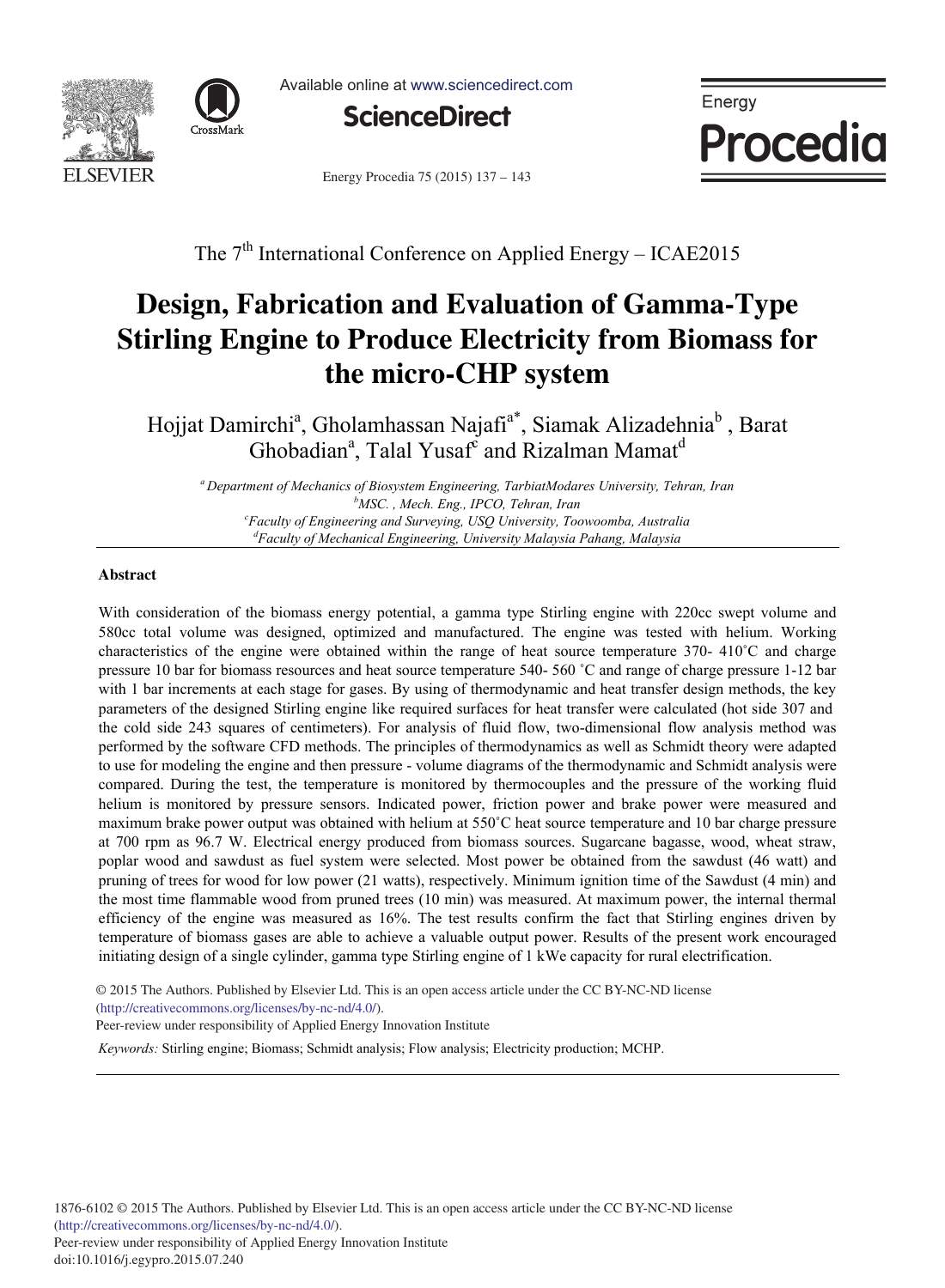



Available online at www.sciencedirect.com



Energy Procedia 75 (2015) 137 - 143



The  $7<sup>th</sup>$  International Conference on Applied Energy – ICAE2015

# **Design, Fabrication and Evaluation of Gamma-Type Stirling Engine to Produce Electricity from Biomass for the micro-CHP system**

Hojjat Damirchi<sup>a</sup>, Gholamhassan Najafi<sup>a\*</sup>, Siamak Alizadehnia<sup>b</sup>, Barat Ghobadian<sup>a</sup>, Talal Yusaf<sup>c</sup> and Rizalman Mamat<sup>d</sup>

*<sup>a</sup> Department of Mechanics of Biosystem Engineering, TarbiatModares University, Tehran, Iran b* <sup>b</sup>MSC., Mech. Eng., IPCO, Tehran, Iran *Faculty of Engineering and Surveying, USQ University, Toowoomba, Australia d Faculty of Mechanical Engineering, University Malaysia Pahang, Malaysia* 

#### **Abstract**

With consideration of the biomass energy potential, a gamma type Stirling engine with 220cc swept volume and 580cc total volume was designed, optimized and manufactured. The engine was tested with helium. Working characteristics of the engine were obtained within the range of heat source temperature 370- 410˚C and charge pressure 10 bar for biomass resources and heat source temperature 540- 560 ˚C and range of charge pressure 1-12 bar with 1 bar increments at each stage for gases. By using of thermodynamic and heat transfer design methods, the key parameters of the designed Stirling engine like required surfaces for heat transfer were calculated (hot side 307 and the cold side 243 squares of centimeters). For analysis of fluid flow, two-dimensional flow analysis method was performed by the software CFD methods. The principles of thermodynamics as well as Schmidt theory were adapted to use for modeling the engine and then pressure - volume diagrams of the thermodynamic and Schmidt analysis were compared. During the test, the temperature is monitored by thermocouples and the pressure of the working fluid helium is monitored by pressure sensors. Indicated power, friction power and brake power were measured and maximum brake power output was obtained with helium at 550˚C heat source temperature and 10 bar charge pressure at 700 rpm as 96.7 W. Electrical energy produced from biomass sources. Sugarcane bagasse, wood, wheat straw, poplar wood and sawdust as fuel system were selected. Most power be obtained from the sawdust (46 watt) and pruning of trees for wood for low power (21 watts), respectively. Minimum ignition time of the Sawdust (4 min) and the most time flammable wood from pruned trees (10 min) was measured. At maximum power, the internal thermal efficiency of the engine was measured as 16%. The test results confirm the fact that Stirling engines driven by temperature of biomass gases are able to achieve a valuable output power. Results of the present work encouraged initiating design of a single cylinder, gamma type Stirling engine of 1 kWe capacity for rural electrification.

© 2015 The Authors. Published by Elsevier Ltd. © 2015 The Authors. Published by Elsevier Ltd. This is an open access article under the CC BY-NC-ND license (http://creativecommons.org/licenses/by-nc-nd/4.0/).

Peer-review under responsibility of Applied Energy Innovation Institute

*Keywords:* Stirling engine; Biomass; Schmidt analysis; Flow analysis; Electricity production; MCHP.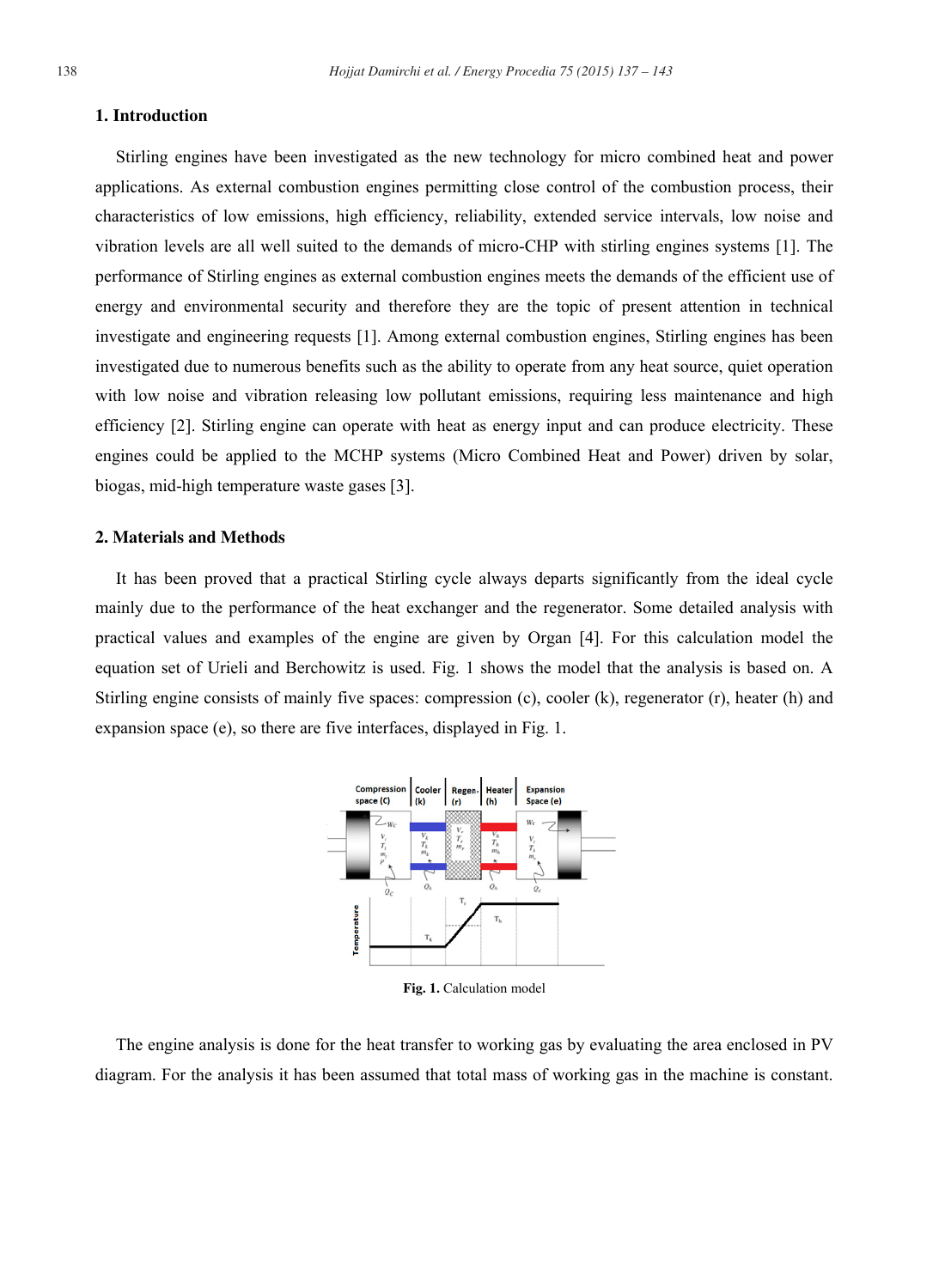#### **1. Introduction**

Stirling engines have been investigated as the new technology for micro combined heat and power applications. As external combustion engines permitting close control of the combustion process, their characteristics of low emissions, high efficiency, reliability, extended service intervals, low noise and vibration levels are all well suited to the demands of micro-CHP with stirling engines systems [1]. The performance of Stirling engines as external combustion engines meets the demands of the efficient use of energy and environmental security and therefore they are the topic of present attention in technical investigate and engineering requests [1]. Among external combustion engines, Stirling engines has been investigated due to numerous benefits such as the ability to operate from any heat source, quiet operation with low noise and vibration releasing low pollutant emissions, requiring less maintenance and high efficiency [2]. Stirling engine can operate with heat as energy input and can produce electricity. These engines could be applied to the MCHP systems (Micro Combined Heat and Power) driven by solar, biogas, mid-high temperature waste gases [3].

# **2. Materials and Methods**

It has been proved that a practical Stirling cycle always departs significantly from the ideal cycle mainly due to the performance of the heat exchanger and the regenerator. Some detailed analysis with practical values and examples of the engine are given by Organ [4]. For this calculation model the equation set of Urieli and Berchowitz is used. Fig. 1 shows the model that the analysis is based on. A Stirling engine consists of mainly five spaces: compression (c), cooler (k), regenerator (r), heater (h) and expansion space (e), so there are five interfaces, displayed in Fig. 1.



**Fig. 1.** Calculation model

The engine analysis is done for the heat transfer to working gas by evaluating the area enclosed in PV diagram. For the analysis it has been assumed that total mass of working gas in the machine is constant.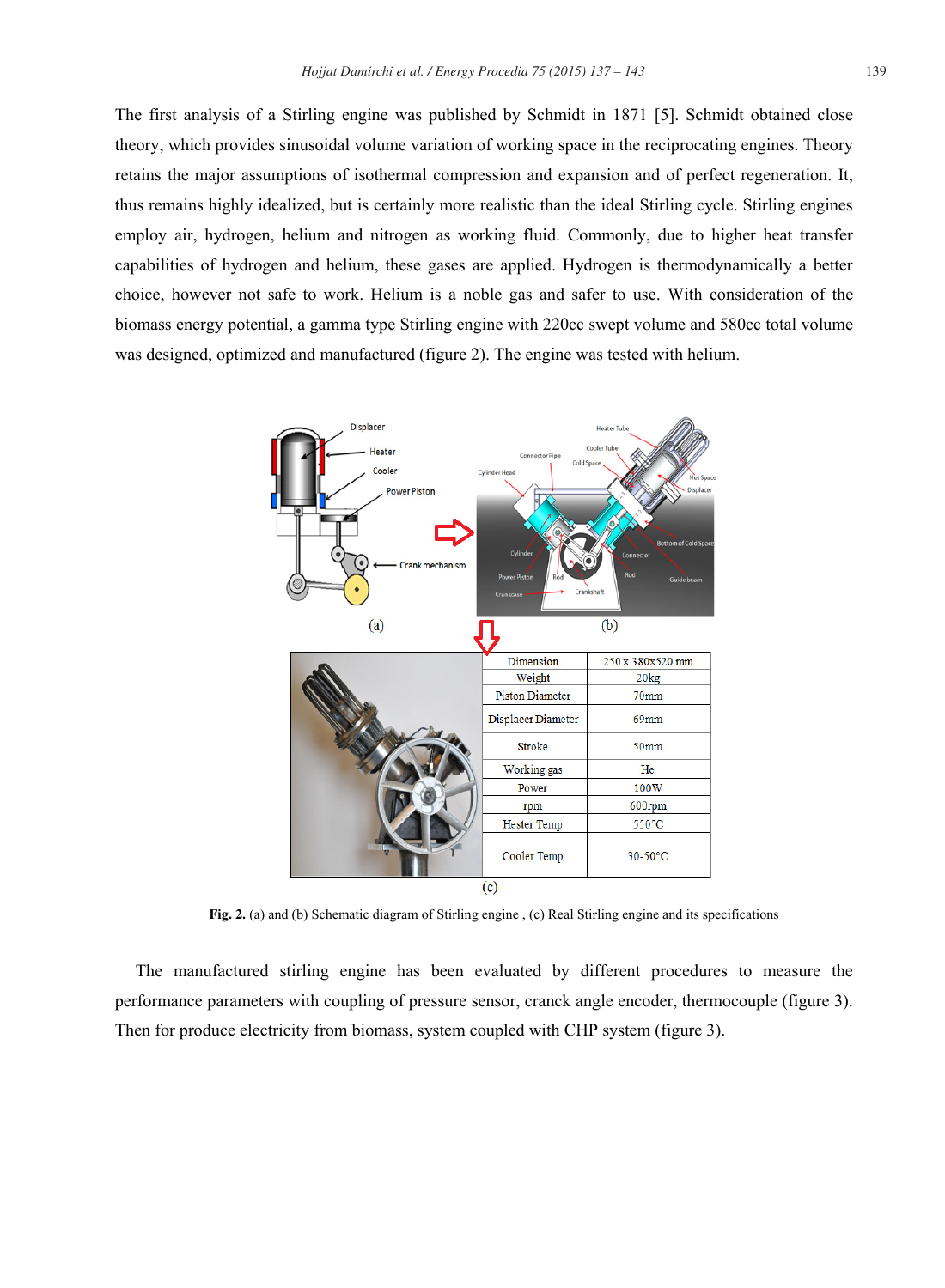The first analysis of a Stirling engine was published by Schmidt in 1871 [5]. Schmidt obtained close theory, which provides sinusoidal volume variation of working space in the reciprocating engines. Theory retains the major assumptions of isothermal compression and expansion and of perfect regeneration. It, thus remains highly idealized, but is certainly more realistic than the ideal Stirling cycle. Stirling engines employ air, hydrogen, helium and nitrogen as working fluid. Commonly, due to higher heat transfer capabilities of hydrogen and helium, these gases are applied. Hydrogen is thermodynamically a better choice, however not safe to work. Helium is a noble gas and safer to use. With consideration of the biomass energy potential, a gamma type Stirling engine with 220cc swept volume and 580cc total volume was designed, optimized and manufactured (figure 2). The engine was tested with helium.



**Fig. 2.** (a) and (b) Schematic diagram of Stirling engine , (c) Real Stirling engine and its specifications

The manufactured stirling engine has been evaluated by different procedures to measure the performance parameters with coupling of pressure sensor, cranck angle encoder, thermocouple (figure 3). Then for produce electricity from biomass, system coupled with CHP system (figure 3).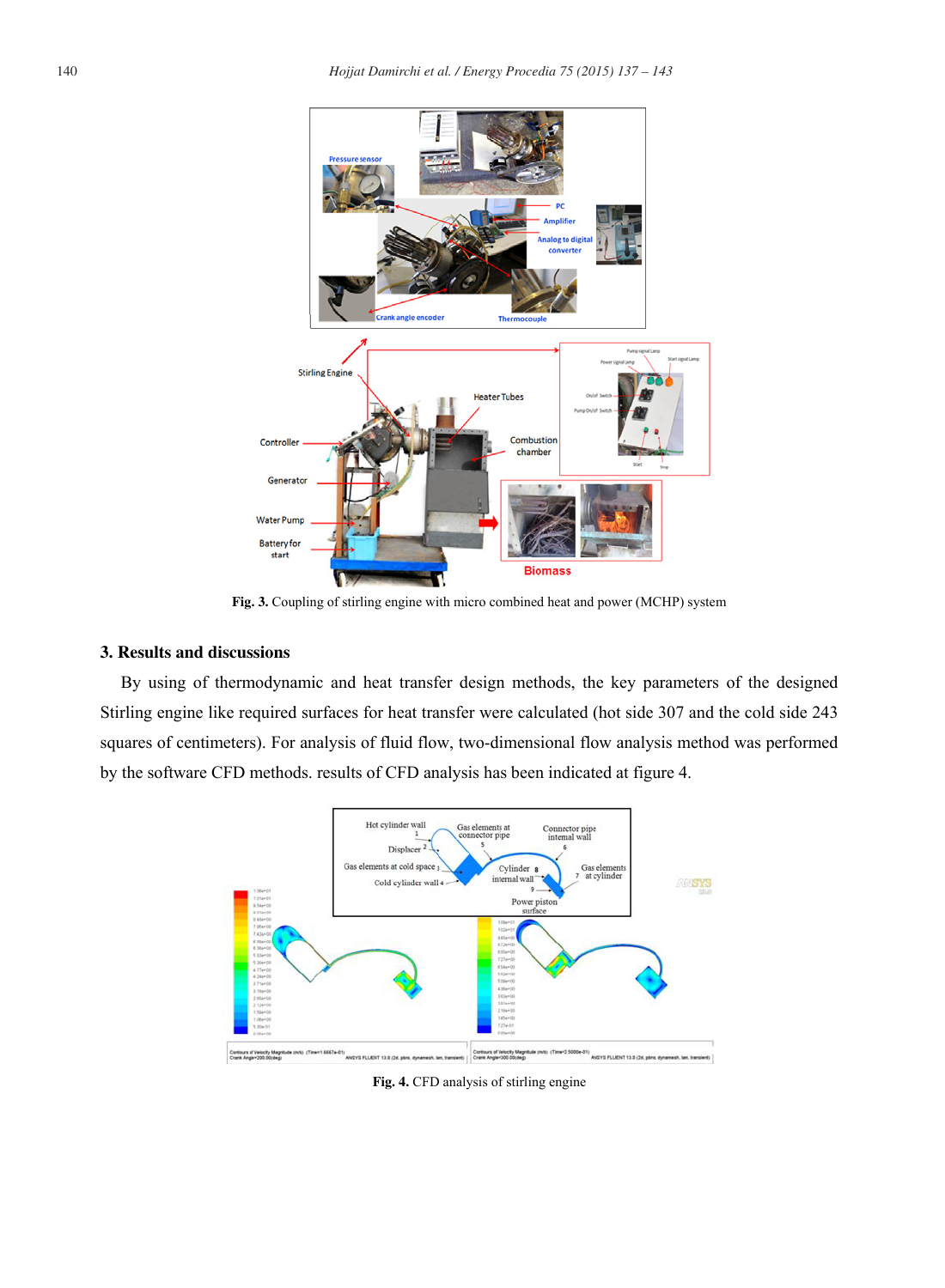

**Fig. 3.** Coupling of stirling engine with micro combined heat and power (MCHP) system

# **3. Results and discussions**

By using of thermodynamic and heat transfer design methods, the key parameters of the designed Stirling engine like required surfaces for heat transfer were calculated (hot side 307 and the cold side 243 squares of centimeters). For analysis of fluid flow, two-dimensional flow analysis method was performed by the software CFD methods. results of CFD analysis has been indicated at figure 4.



**Fig. 4.** CFD analysis of stirling engine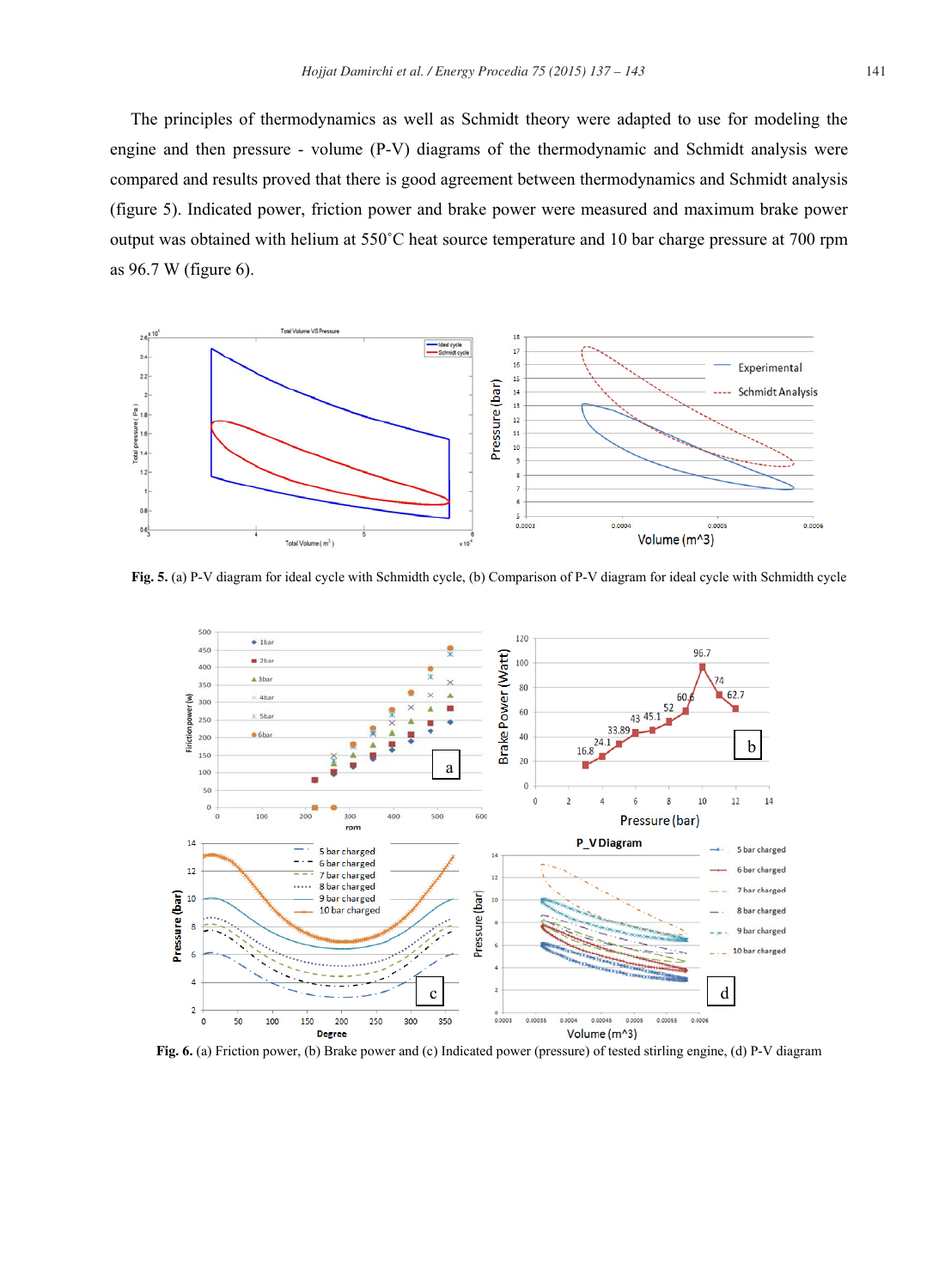The principles of thermodynamics as well as Schmidt theory were adapted to use for modeling the engine and then pressure - volume (P-V) diagrams of the thermodynamic and Schmidt analysis were compared and results proved that there is good agreement between thermodynamics and Schmidt analysis (figure 5). Indicated power, friction power and brake power were measured and maximum brake power output was obtained with helium at 550˚C heat source temperature and 10 bar charge pressure at 700 rpm as 96.7 W (figure 6).



**Fig. 5.** (a) P-V diagram for ideal cycle with Schmidth cycle, (b) Comparison of P-V diagram for ideal cycle with Schmidth cycle



**Fig. 6.** (a) Friction power, (b) Brake power and (c) Indicated power (pressure) of tested stirling engine, (d) P-V diagram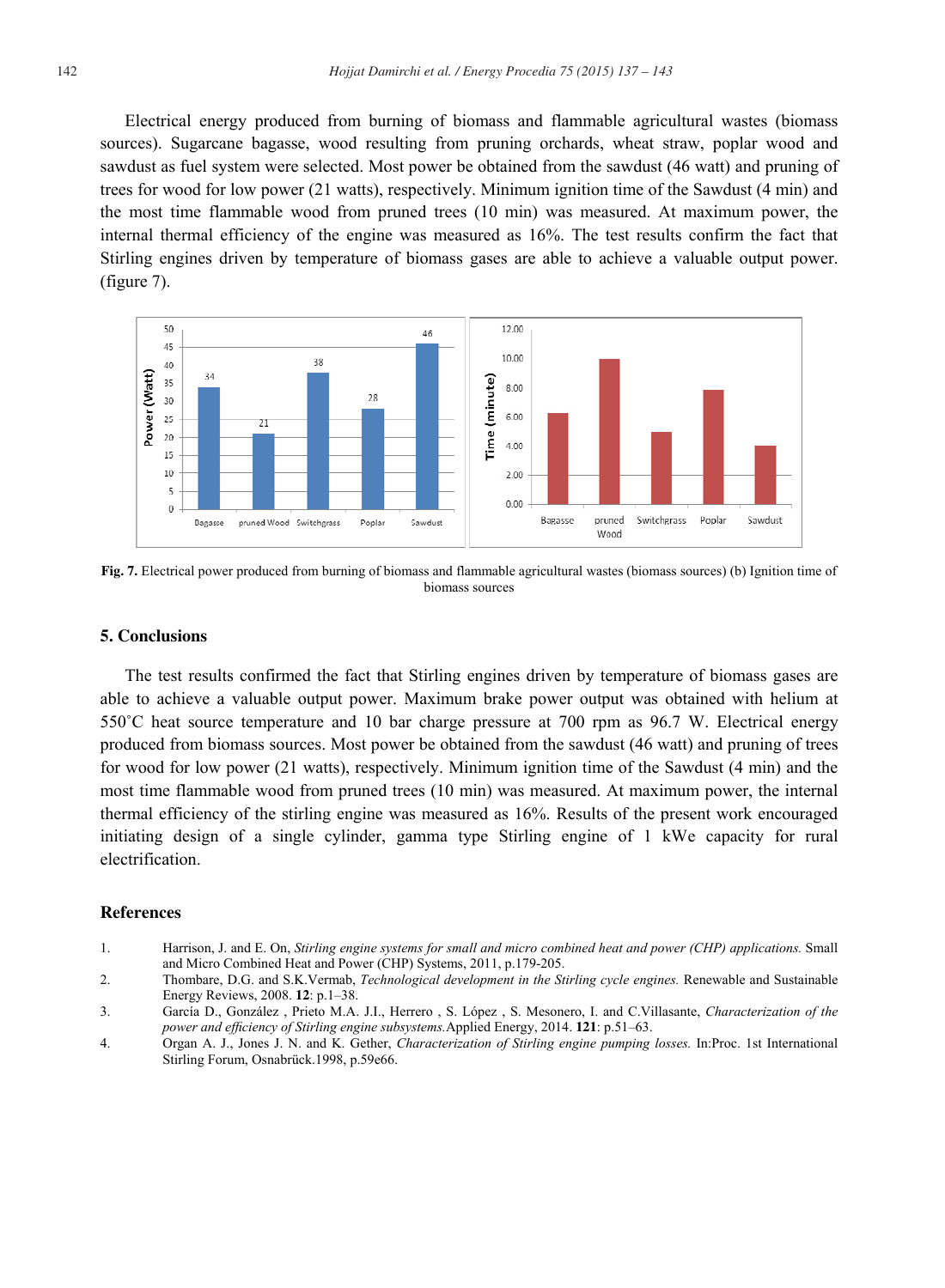Electrical energy produced from burning of biomass and flammable agricultural wastes (biomass sources). Sugarcane bagasse, wood resulting from pruning orchards, wheat straw, poplar wood and sawdust as fuel system were selected. Most power be obtained from the sawdust (46 watt) and pruning of trees for wood for low power (21 watts), respectively. Minimum ignition time of the Sawdust (4 min) and the most time flammable wood from pruned trees (10 min) was measured. At maximum power, the internal thermal efficiency of the engine was measured as 16%. The test results confirm the fact that Stirling engines driven by temperature of biomass gases are able to achieve a valuable output power. (figure 7).



**Fig. 7.** Electrical power produced from burning of biomass and flammable agricultural wastes (biomass sources) (b) Ignition time of biomass sources

### **5. Conclusions**

The test results confirmed the fact that Stirling engines driven by temperature of biomass gases are able to achieve a valuable output power. Maximum brake power output was obtained with helium at 550˚C heat source temperature and 10 bar charge pressure at 700 rpm as 96.7 W. Electrical energy produced from biomass sources. Most power be obtained from the sawdust (46 watt) and pruning of trees for wood for low power (21 watts), respectively. Minimum ignition time of the Sawdust (4 min) and the most time flammable wood from pruned trees (10 min) was measured. At maximum power, the internal thermal efficiency of the stirling engine was measured as 16%. Results of the present work encouraged initiating design of a single cylinder, gamma type Stirling engine of 1 kWe capacity for rural electrification.

#### **References**

- 1. Harrison, J. and E. On, *Stirling engine systems for small and micro combined heat and power (CHP) applications.* Small and Micro Combined Heat and Power (CHP) Systems, 2011, p.179-205.
- 2. Thombare, D.G. and S.K.Vermab, *Technological development in the Stirling cycle engines.* Renewable and Sustainable Energy Reviews, 2008. **12**: p.1–38.
- 3. García D., González , Prieto M.A. J.I., Herrero , S. López , S. Mesonero, I. and C.Villasante, *Characterization of the power and efficiency of Stirling engine subsystems.*Applied Energy, 2014. **121**: p.51–63.
- 4. Organ A. J., Jones J. N. and K. Gether, *Characterization of Stirling engine pumping losses.* In:Proc. 1st International Stirling Forum, Osnabrück.1998, p.59e66.